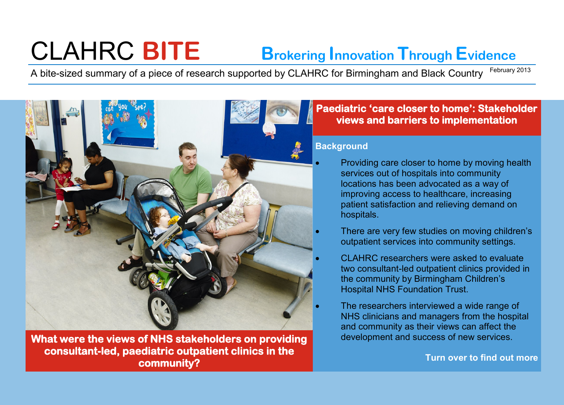# CLAHRC **BITE Brokering Innovation Through Evidence**

A bite-sized summary of a piece of research supported by CLAHRC for Birmingham and Black Country February 2013



**What were the views of NHS stakeholders on providing consultant-led, paediatric outpatient clinics in the community?** 

# **Paediatric 'care closer to home': Stakeholder views and barriers to implementation**

## **Background**

- Providing care closer to home by moving health services out of hospitals into community locations has been advocated as a way of improving access to healthcare, increasing patient satisfaction and relieving demand on hospitals.
- There are very few studies on moving children's outpatient services into community settings.
- CLAHRC researchers were asked to evaluate two consultant-led outpatient clinics provided in the community by Birmingham Children's Hospital NHS Foundation Trust.
	- The researchers interviewed a wide range of NHS clinicians and managers from the hospital and community as their views can affect the development and success of new services.

**Turn over to find out more**